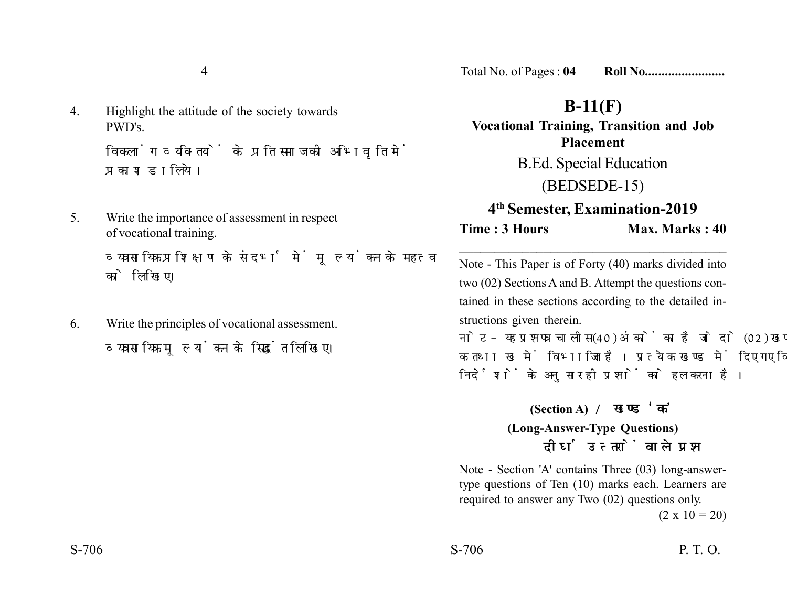4. Highlight the attitude of the society towards PWD's.

> विकलांग व्यक्तियों के प्रति समाज की अभिवति में प्रकाश डालिये।

5. Write the importance of assessment in respect of vocational training.

व्यवसायिक प्रशिक्षण के संदर्भ में मुल्यांकन के महत्व को लिखिए।

6. Write the principles of vocational assessment. व्यवसायिक मल्यांकन के सिद्धांत लिखिए।

Total No. of Pages : **04 Roll No........................**

## **B-11(F)**

**Vocational Training, Transition and Job Placement** B.Ed. Special Education (BEDSEDE-15) **4th Semester, Examination-2019 Time : 3 Hours Max. Marks : 40** 

Note - This Paper is of Forty (40) marks divided into two (02) Sections A and B. Attempt the questions contained in these sections according to the detailed instructions given therein.

\_\_\_\_\_\_\_\_\_\_\_\_\_\_\_\_\_\_\_\_\_\_\_\_\_\_\_\_\_\_\_\_\_\_\_\_\_\_

नोट- यह प्रश्नपत्र चालीस (40) अंकों का है जो दो (02) खण्डों. क तथा ख में विभाजित है। प्रत्येक खण्ड में दिए गए विस्तृत निर्देशों के अनुसार ही प्रश्नों को हल करना है।

> **(Section A) (Long-Answer-Type Questions)** दीर्घ उत्तरों वाले प्रश्न

Note - Section 'A' contains Three (03) long-answertype questions of Ten (10) marks each. Learners are required to answer any Two (02) questions only.

 $(2 \times 10 = 20)$